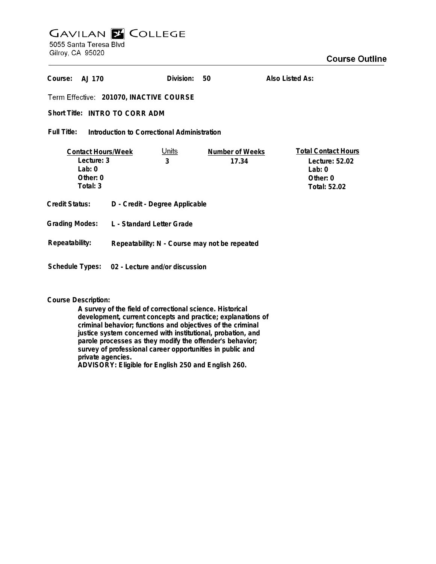## **GAVILAN Z COLLEGE** 5055 Santa Teresa Blvd

Gilroy, CA 95020

| Course:<br>AJ 170                                                                                |                                               | Division: | 50                       | Also Listed As:                                                                      |
|--------------------------------------------------------------------------------------------------|-----------------------------------------------|-----------|--------------------------|--------------------------------------------------------------------------------------|
| Term Effective: 201070, INACTIVE COURSE                                                          |                                               |           |                          |                                                                                      |
| Short Title: INTRO TO CORR ADM                                                                   |                                               |           |                          |                                                                                      |
| Full Title:<br>Introduction to Correctional Administration                                       |                                               |           |                          |                                                                                      |
| <u>Units</u><br><b>Contact Hours/Week</b><br>Lecture: 3<br>3<br>Lab: $0$<br>Other: 0<br>Total: 3 |                                               |           | Number of Weeks<br>17.34 | <b>Total Contact Hours</b><br>Lecture: 52.02<br>Lab: $0$<br>Other: 0<br>Total: 52.02 |
| Credit Status:                                                                                   | D - Credit - Degree Applicable                |           |                          |                                                                                      |
| <b>Grading Modes:</b>                                                                            | L - Standard Letter Grade                     |           |                          |                                                                                      |
| Repeatability:                                                                                   | Repeatability: N - Course may not be repeated |           |                          |                                                                                      |
| Schedule Types: 02 - Lecture and/or discussion                                                   |                                               |           |                          |                                                                                      |

## **Course Description:**

**A survey of the field of correctional science. Historical development, current concepts and practice; explanations of criminal behavior; functions and objectives of the criminal justice system concerned with institutional, probation, and parole processes as they modify the offender's behavior; survey of professional career opportunities in public and private agencies. ADVISORY: Eligible for English 250 and English 260.**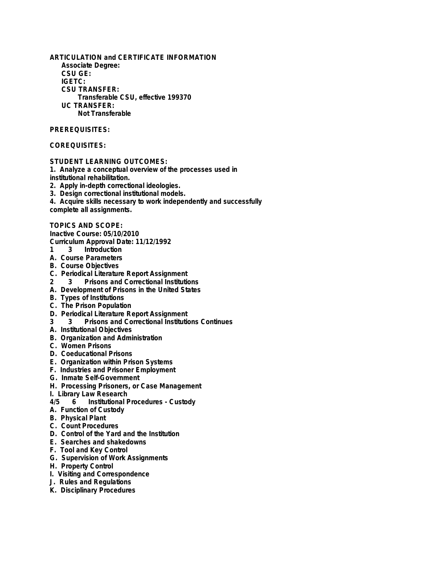**ARTICULATION and CERTIFICATE INFORMATION Associate Degree: CSU GE: IGETC: CSU TRANSFER: Transferable CSU, effective 199370 UC TRANSFER: Not Transferable PREREQUISITES:**

## **COREQUISITES:**

**STUDENT LEARNING OUTCOMES:**

**1. Analyze a conceptual overview of the processes used in institutional rehabilitation.**

**2. Apply in-depth correctional ideologies.**

**3. Design correctional institutional models.**

**4. Acquire skills necessary to work independently and successfully complete all assignments.**

**TOPICS AND SCOPE:**

**Inactive Course: 05/10/2010 Curriculum Approval Date: 11/12/1992**

- **1 3 Introduction**
- **A. Course Parameters**
- **B. Course Objectives**
- 
- **C. Periodical Literature Report Assignment 2 3 Prisons and Correctional Institutions**
- **A. Development of Prisons in the United States**
- **B. Types of Institutions**
- **C. The Prison Population**
- 
- **D. Periodical Literature Report Assignment 3 3 Prisons and Correctional Institutions Continues**
- **A. Institutional Objectives**
- **B. Organization and Administration**
- **C. Women Prisons**
- **D. Coeducational Prisons**
- **E. Organization within Prison Systems**
- **F. Industries and Prisoner Employment**
- **G. Inmate Self-Government**
- **H. Processing Prisoners, or Case Management**
- **I. Library Law Research**
- **4/5 6 Institutional Procedures Custody**
- **A. Function of Custody**
- **B. Physical Plant**
- **C. Count Procedures**
- **D. Control of the Yard and the Institution**
- **E. Searches and shakedowns**
- **F. Tool and Key Control**
- **G. Supervision of Work Assignments**
- **H. Property Control**
- **I. Visiting and Correspondence**
- **J. Rules and Regulations**
- **K. Disciplinary Procedures**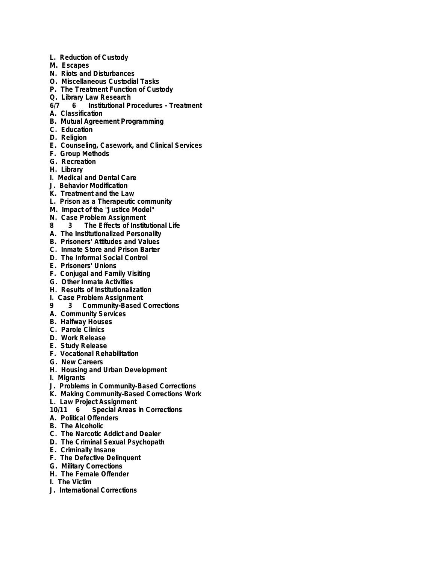- **L. Reduction of Custody**
- **M. Escapes**
- **N. Riots and Disturbances**
- **O. Miscellaneous Custodial Tasks**
- **P. The Treatment Function of Custody**
- **Q. Library Law Research**
- **6/7 6 Institutional Procedures Treatment**
- **A. Classification**
- **B. Mutual Agreement Programming**
- **C. Education**
- **D. Religion**
- **E. Counseling, Casework, and Clinical Services**
- **F. Group Methods**
- **G. Recreation**
- **H. Library**
- **I. Medical and Dental Care**
- **J. Behavior Modification**
- **K. Treatment and the Law**
- **L. Prison as a Therapeutic community**
- **M. Impact of the "Justice Model"**
- **N. Case Problem Assignment**
- **8 3 The Effects of Institutional Life**
- **A. The Institutionalized Personality**
- **B. Prisoners' Attitudes and Values**
- **C. Inmate Store and Prison Barter**
- **D. The Informal Social Control**
- **E. Prisoners' Unions**
- **F. Conjugal and Family Visiting**
- **G. Other Inmate Activities**
- **H. Results of Institutionalization**
- **I. Case Problem Assignment**
- **9 3 Community-Based Corrections**
- **A. Community Services**
- **B. Halfway Houses**
- **C. Parole Clinics**
- **D. Work Release**
- **E. Study Release**
- **F. Vocational Rehabilitation**
- **G. New Careers**
- **H. Housing and Urban Development**
- **I. Migrants**
- **J. Problems in Community-Based Corrections**
- **K. Making Community-Based Corrections Work**
- **L. Law Project Assignment**
- **10/11 6 Special Areas in Corrections**
- **A. Political Offenders**
- **B. The Alcoholic**
- **C. The Narcotic Addict and Dealer**
- **D. The Criminal Sexual Psychopath**
- **E. Criminally Insane**
- **F. The Defective Delinquent**
- **G. Military Corrections**
- **H. The Female Offender**
- **I. The Victim**
- **J. International Corrections**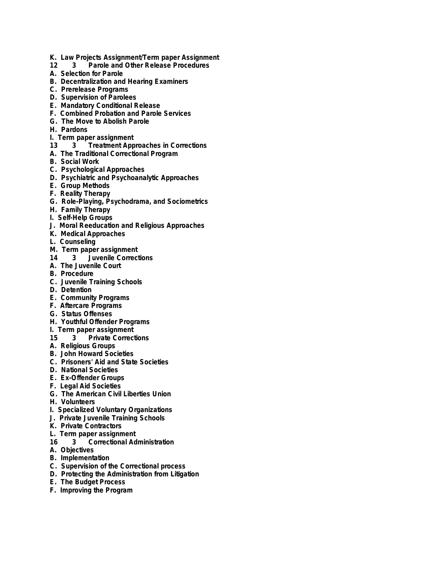- **K. Law Projects Assignment/Term paper Assignment**
- **12 3 Parole and Other Release Procedures**
- **A. Selection for Parole**
- **B. Decentralization and Hearing Examiners**
- **C. Prerelease Programs**
- **D. Supervision of Parolees**
- **E. Mandatory Conditional Release**
- **F. Combined Probation and Parole Services**
- **G. The Move to Abolish Parole**
- **H. Pardons**
- **I. Term paper assignment**
- **13 3 Treatment Approaches in Corrections**
- **A. The Traditional Correctional Program**
- **B. Social Work**
- **C. Psychological Approaches**
- **D. Psychiatric and Psychoanalytic Approaches**
- **E. Group Methods**
- **F. Reality Therapy**
- **G. Role-Playing, Psychodrama, and Sociometrics**
- **H. Family Therapy**
- **I. Self-Help Groups**
- **J. Moral Reeducation and Religious Approaches**
- **K. Medical Approaches**
- **L. Counseling**
- **M. Term paper assignment**
- **14 3 Juvenile Corrections**
- **A. The Juvenile Court**
- **B. Procedure**
- **C. Juvenile Training Schools**
- **D. Detention**
- **E. Community Programs**
- **F. Aftercare Programs**
- **G. Status Offenses**
- **H. Youthful Offender Programs**
- **I. Term paper assignment**
- **15 3 Private Corrections**
- **A. Religious Groups**
- **B. John Howard Societies**
- **C. Prisoners' Aid and State Societies**
- **D. National Societies**
- **E. Ex-Offender Groups**
- **F. Legal Aid Societies**
- **G. The American Civil Liberties Union**
- **H. Volunteers**
- **I. Specialized Voluntary Organizations**
- **J. Private Juvenile Training Schools**
- **K. Private Contractors**
- **L. Term paper assignment**
- **16 3 Correctional Administration**
- **A. Objectives**
- **B. Implementation**
- **C. Supervision of the Correctional process**
- **D. Protecting the Administration from Litigation**
- **E. The Budget Process**
- **F. Improving the Program**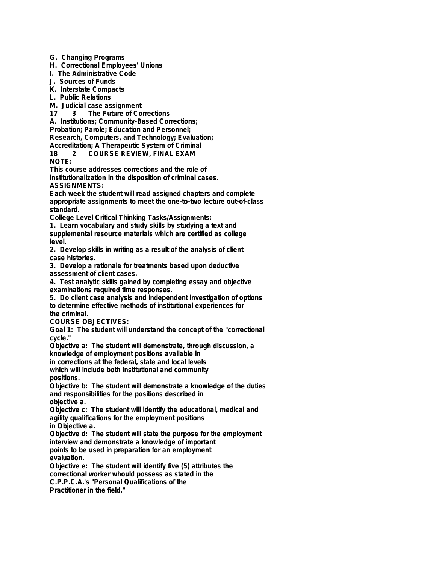**G. Changing Programs**

**H. Correctional Employees' Unions**

**I. The Administrative Code**

**J. Sources of Funds**

**K. Interstate Compacts**

**L. Public Relations**

**M. Judicial case assignment**

**17 3 The Future of Corrections**

**A. Institutions; Community-Based Corrections;**

**Probation; Parole; Education and Personnel;**

**Research, Computers, and Technology; Evaluation;**

**Accreditation; A Therapeutic System of Criminal**

**18 2 COURSE REVIEW, FINAL EXAM NOTE:**

**This course addresses corrections and the role of institutionalization in the disposition of criminal cases. ASSIGNMENTS:**

**Each week the student will read assigned chapters and complete appropriate assignments to meet the one-to-two lecture out-of-class standard.**

**College Level Critical Thinking Tasks/Assignments:**

**1. Learn vocabulary and study skills by studying a text and supplemental resource materials which are certified as college level.**

**2. Develop skills in writing as a result of the analysis of client case histories.**

**3. Develop a rationale for treatments based upon deductive assessment of client cases.**

**4. Test analytic skills gained by completing essay and objective examinations required time responses.**

**5. Do client case analysis and independent investigation of options to determine effective methods of institutional experiences for the criminal.**

**COURSE OBJECTIVES:**

**Goal 1: The student will understand the concept of the "correctional cycle."**

**Objective a: The student will demonstrate, through discussion, a knowledge of employment positions available in**

**in corrections at the federal, state and local levels**

**which will include both institutional and community positions.**

**Objective b: The student will demonstrate a knowledge of the duties and responsibilities for the positions described in objective a.**

**Objective c: The student will identify the educational, medical and agility qualifications for the employment positions**

**in Objective a.**

**Objective d: The student will state the purpose for the employment interview and demonstrate a knowledge of important points to be used in preparation for an employment**

**evaluation.**

**Objective e: The student will identify five (5) attributes the correctional worker whould possess as stated in the C.P.P.C.A.'s "Personal Qualifications of the**

**Practitioner in the field."**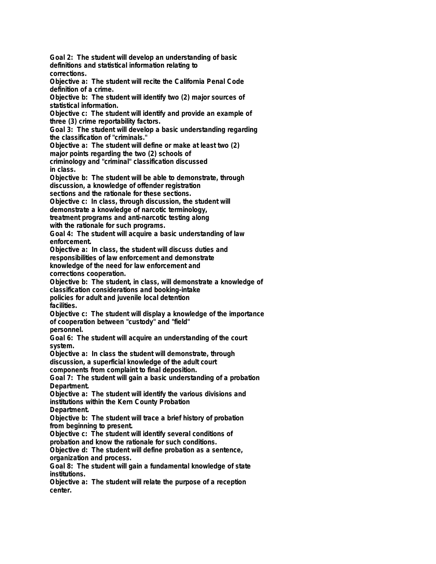**Goal 2: The student will develop an understanding of basic definitions and statistical information relating to corrections.**

**Objective a: The student will recite the California Penal Code definition of a crime.**

**Objective b: The student will identify two (2) major sources of statistical information.**

**Objective c: The student will identify and provide an example of three (3) crime reportability factors.**

**Goal 3: The student will develop a basic understanding regarding the classification of "criminals."**

**Objective a: The student will define or make at least two (2)**

**major points regarding the two (2) schools of**

**criminology and "criminal" classification discussed in class.**

**Objective b: The student will be able to demonstrate, through discussion, a knowledge of offender registration**

**sections and the rationale for these sections.**

**Objective c: In class, through discussion, the student will**

**demonstrate a knowledge of narcotic terminology,**

**treatment programs and anti-narcotic testing along**

**with the rationale for such programs.**

**Goal 4: The student will acquire a basic understanding of law enforcement.**

**Objective a: In class, the student will discuss duties and**

**responsibilities of law enforcement and demonstrate**

**knowledge of the need for law enforcement and corrections cooperation.**

**Objective b: The student, in class, will demonstrate a knowledge of classification considerations and booking-intake policies for adult and juvenile local detention**

**facilities.**

**Objective c: The student will display a knowledge of the importance of cooperation between "custody" and "field" personnel.**

**Goal 6: The student will acquire an understanding of the court**

**system. Objective a: In class the student will demonstrate, through discussion, a superficial knowledge of the adult court**

**components from complaint to final deposition.**

**Goal 7: The student will gain a basic understanding of a probation Department.**

**Objective a: The student will identify the various divisions and institutions within the Kern County Probation**

**Department.**

**Objective b: The student will trace a brief history of probation from beginning to present.**

**Objective c: The student will identify several conditions of probation and know the rationale for such conditions.**

**Objective d: The student will define probation as a sentence, organization and process.**

**Goal 8: The student will gain a fundamental knowledge of state institutions.**

**Objective a: The student will relate the purpose of a reception center.**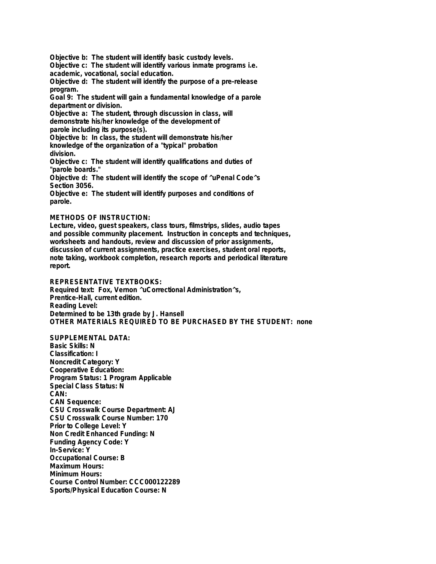**Objective b: The student will identify basic custody levels.**

**Objective c: The student will identify various inmate programs i.e. academic, vocational, social education.**

**Objective d: The student will identify the purpose of a pre-release program.**

**Goal 9: The student will gain a fundamental knowledge of a parole department or division.**

**Objective a: The student, through discussion in class, will demonstrate his/her knowledge of the development of parole including its purpose(s).**

**Objective b: In class, the student will demonstrate his/her knowledge of the organization of a "typical" probation division.**

**Objective c: The student will identify qualifications and duties of "parole boards."**

**Objective d: The student will identify the scope of ^uPenal Code^s Section 3056.**

**Objective e: The student will identify purposes and conditions of parole.**

## **METHODS OF INSTRUCTION:**

**Lecture, video, guest speakers, class tours, filmstrips, slides, audio tapes and possible community placement. Instruction in concepts and techniques, worksheets and handouts, review and discussion of prior assignments, discussion of current assignments, practice exercises, student oral reports, note taking, workbook completion, research reports and periodical literature report.**

**REPRESENTATIVE TEXTBOOKS: Required text: Fox, Vernon ^uCorrectional Administration^s, Prentice-Hall, current edition. Reading Level: Determined to be 13th grade by J. Hansell OTHER MATERIALS REQUIRED TO BE PURCHASED BY THE STUDENT: none**

**SUPPLEMENTAL DATA: Basic Skills: N Classification: I Noncredit Category: Y Cooperative Education: Program Status: 1 Program Applicable Special Class Status: N CAN: CAN Sequence: CSU Crosswalk Course Department: AJ CSU Crosswalk Course Number: 170 Prior to College Level: Y Non Credit Enhanced Funding: N Funding Agency Code: Y In-Service: Y Occupational Course: B Maximum Hours: Minimum Hours: Course Control Number: CCC000122289 Sports/Physical Education Course: N**